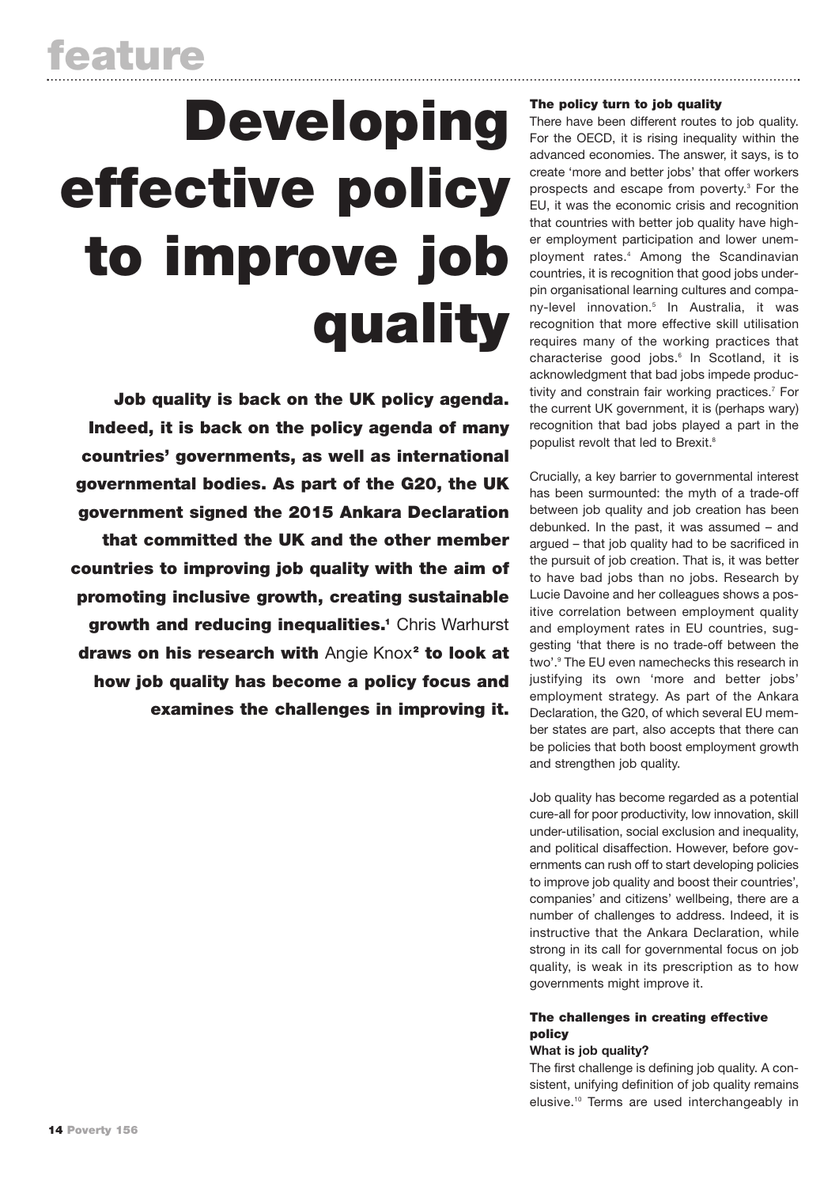# Developing effective policy to improve job quality

Job quality is back on the UK policy agenda. Indeed, it is back on the policy agenda of many countries' governments, as well as international governmental bodies. As part of the G20, the UK government signed the 2015 Ankara Declaration that committed the UK and the other member countries to improving job quality with the aim of promoting inclusive growth, creating sustainable arowth and reducing inequalities.<sup>1</sup> Chris Warhurst draws on his research with Angie Knox<sup>2</sup> to look at how job quality has become a policy focus and examines the challenges in improving it.

## The policy turn to job quality

There have been different routes to job quality. For the OECD, it is rising inequality within the advanced economies. The answer, it says, is to create 'more and better jobs' that offer workers prospects and escape from poverty.3 For the EU, it was the economic crisis and recognition that countries with better job quality have higher employment participation and lower unemployment rates.4 Among the Scandinavian countries, it is recognition that good jobs underpin organisational learning cultures and company-level innovation.5 In Australia, it was recognition that more effective skill utilisation requires many of the working practices that characterise good jobs.<sup>6</sup> In Scotland, it is acknowledgment that bad jobs impede productivity and constrain fair working practices.<sup>7</sup> For the current UK government, it is (perhaps wary) recognition that bad jobs played a part in the populist revolt that led to Brexit.<sup>8</sup>

Crucially, a key barrier to governmental interest has been surmounted: the myth of a trade-off between job quality and job creation has been debunked. In the past, it was assumed – and argued – that job quality had to be sacrificed in the pursuit of job creation. That is, it was better to have bad jobs than no jobs. Research by Lucie Davoine and her colleagues shows a positive correlation between employment quality and employment rates in EU countries, suggesting 'that there is no trade-off between the two'.9 The EU even namechecks this research in justifying its own 'more and better jobs' employment strategy. As part of the Ankara Declaration, the G20, of which several EU member states are part, also accepts that there can be policies that both boost employment growth and strengthen job quality.

Job quality has become regarded as a potential cure-all for poor productivity, low innovation, skill under-utilisation, social exclusion and inequality, and political disaffection. However, before governments can rush off to start developing policies to improve job quality and boost their countries', companies' and citizens' wellbeing, there are a number of challenges to address. Indeed, it is instructive that the Ankara Declaration, while strong in its call for governmental focus on job quality, is weak in its prescription as to how governments might improve it.

## The challenges in creating effective policy

#### **What is job quality?**

The first challenge is defining job quality. A consistent, unifying definition of job quality remains elusive.10 Terms are used interchangeably in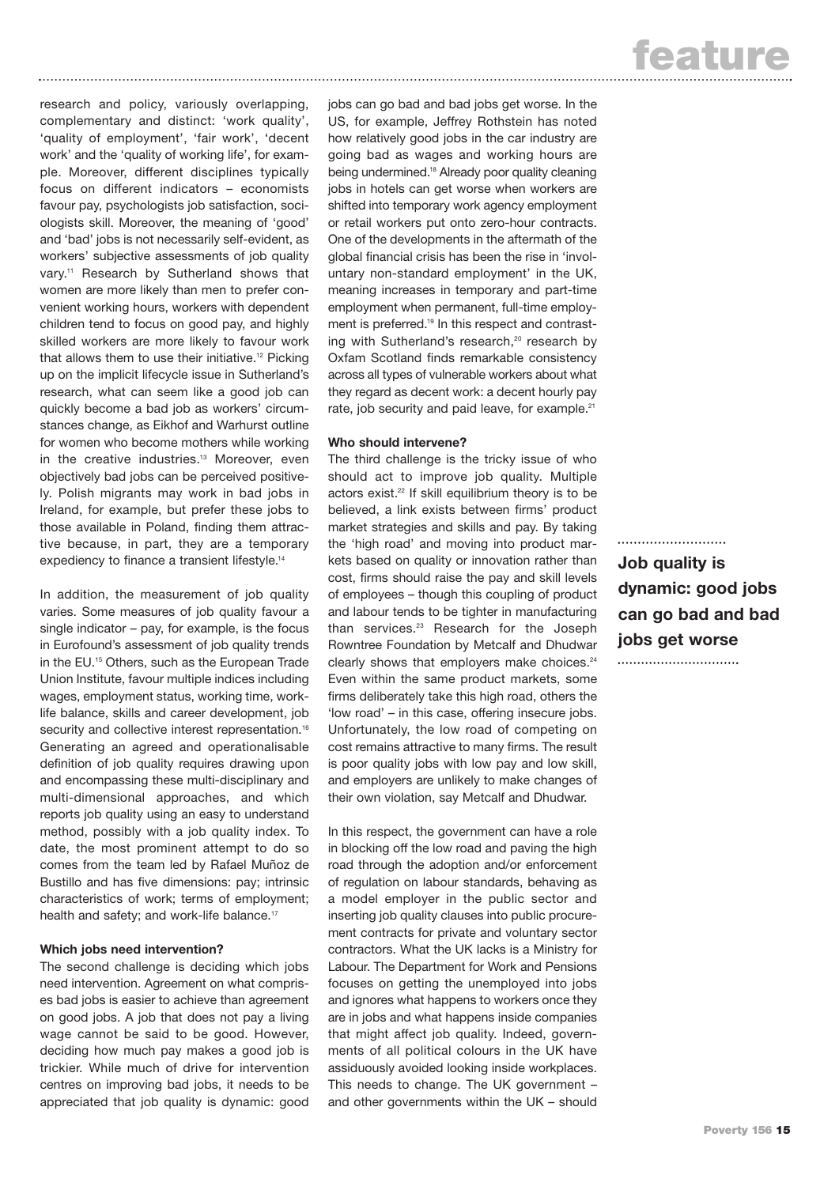research and policy, variously overlapping, complementary and distinct: 'work quality', 'quality of employment', 'fair work', 'decent work' and the 'quality of working life', for example. Moreover, different disciplines typically focus on different indicators – economists favour pay, psychologists job satisfaction, sociologists skill. Moreover, the meaning of 'good' and 'bad' jobs is not necessarily self-evident, as workers' subjective assessments of job quality vary.<sup>11</sup> Research by Sutherland shows that women are more likely than men to prefer convenient working hours, workers with dependent children tend to focus on good pay, and highly skilled workers are more likely to favour work that allows them to use their initiative.<sup>12</sup> Picking up on the implicit lifecycle issue in Sutherland's research, what can seem like a good job can quickly become a bad job as workers' circumstances change, as Eikhof and Warhurst outline for women who become mothers while working in the creative industries.<sup>13</sup> Moreover, even objectively bad jobs can be perceived positively. Polish migrants may work in bad jobs in Ireland, for example, but prefer these jobs to those available in Poland, finding them attractive because, in part, they are a temporary expediency to finance a transient lifestyle.<sup>14</sup>

In addition, the measurement of job quality varies. Some measures of job quality favour a single indicator – pay, for example, is the focus in Eurofound's assessment of job quality trends in the EU.<sup>15</sup> Others, such as the European Trade Union Institute, favour multiple indices including wages, employment status, working time, worklife balance, skills and career development, job security and collective interest representation.<sup>16</sup> Generating an agreed and operationalisable definition of job quality requires drawing upon and encompassing these multi-disciplinary and multi-dimensional approaches, and which reports job quality using an easy to understand method, possibly with a job quality index. To date, the most prominent attempt to do so comes from the team led by Rafael Muñoz de Bustillo and has five dimensions: pay; intrinsic characteristics of work; terms of employment; health and safety; and work-life balance.<sup>17</sup>

#### **Which jobs need intervention?**

The second challenge is deciding which jobs need intervention. Agreement on what comprises bad jobs is easier to achieve than agreement on good jobs. A job that does not pay a living wage cannot be said to be good. However, deciding how much pay makes a good job is trickier. While much of drive for intervention centres on improving bad jobs, it needs to be appreciated that job quality is dynamic: good

jobs can go bad and bad jobs get worse. In the US, for example, Jeffrey Rothstein has noted how relatively good jobs in the car industry are going bad as wages and working hours are being undermined.<sup>18</sup> Already poor quality cleaning jobs in hotels can get worse when workers are shifted into temporary work agency employment or retail workers put onto zero-hour contracts. One of the developments in the aftermath of the global financial crisis has been the rise in 'involuntary non-standard employment' in the UK, meaning increases in temporary and part-time employment when permanent, full-time employment is preferred.19 In this respect and contrasting with Sutherland's research,<sup>20</sup> research by Oxfam Scotland finds remarkable consistency across all types of vulnerable workers about what they regard as decent work: a decent hourly pay rate, job security and paid leave, for example.<sup>21</sup>

#### **Who should intervene?**

The third challenge is the tricky issue of who should act to improve job quality. Multiple actors exist.<sup>22</sup> If skill equilibrium theory is to be believed, a link exists between firms' product market strategies and skills and pay. By taking the 'high road' and moving into product markets based on quality or innovation rather than cost, firms should raise the pay and skill levels of employees – though this coupling of product and labour tends to be tighter in manufacturing than services.<sup>23</sup> Research for the Joseph Rowntree Foundation by Metcalf and Dhudwar clearly shows that employers make choices.<sup>24</sup> Even within the same product markets, some firms deliberately take this high road, others the 'low road' – in this case, offering insecure jobs. Unfortunately, the low road of competing on cost remains attractive to many firms. The result is poor quality jobs with low pay and low skill, and employers are unlikely to make changes of their own violation, say Metcalf and Dhudwar.

In this respect, the government can have a role in blocking off the low road and paving the high road through the adoption and/or enforcement of regulation on labour standards, behaving as a model employer in the public sector and inserting job quality clauses into public procurement contracts for private and voluntary sector contractors. What the UK lacks is a Ministry for Labour. The Department for Work and Pensions focuses on getting the unemployed into jobs and ignores what happens to workers once they are in jobs and what happens inside companies that might affect job quality. Indeed, governments of all political colours in the UK have assiduously avoided looking inside workplaces. This needs to change. The UK government – and other governments within the UK – should

........................... **Job quality is dynamic: good jobs can go bad and bad jobs get worse**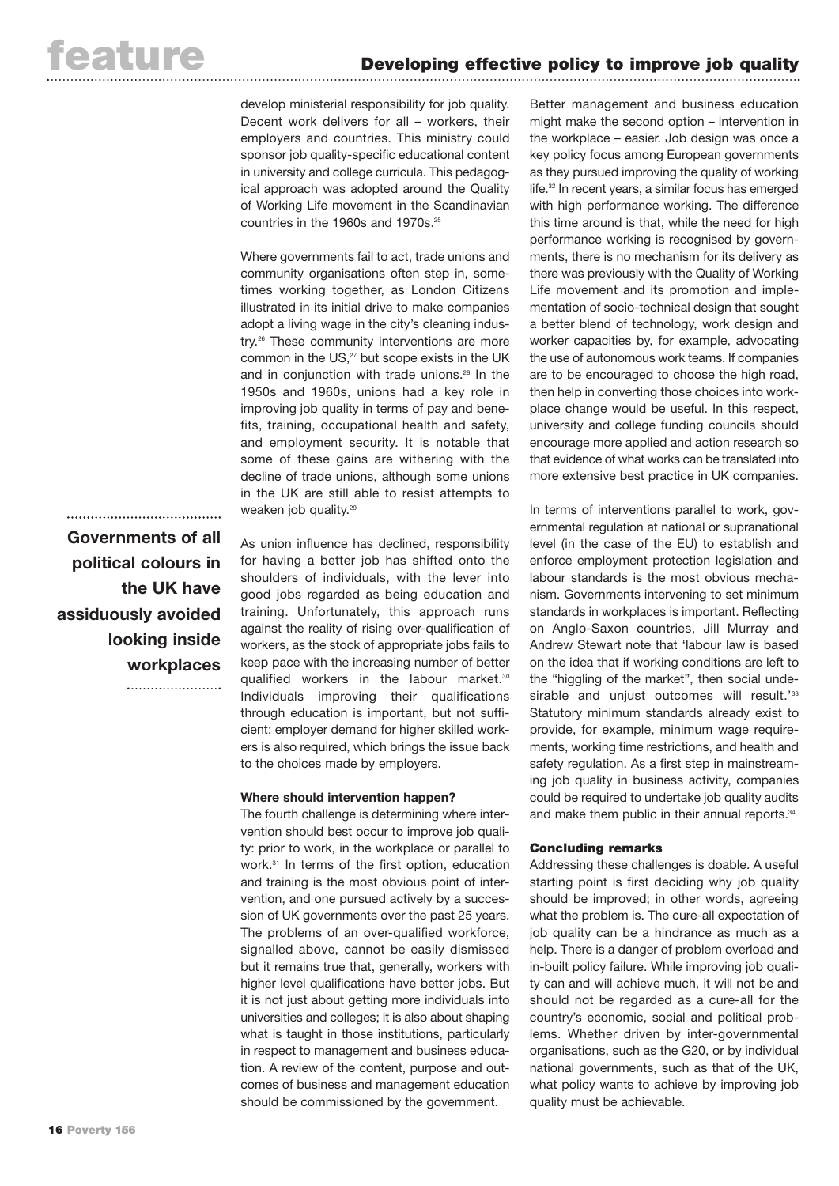develop ministerial responsibility for job quality. Decent work delivers for all – workers, their employers and countries. This ministry could sponsor job quality-specific educational content in university and college curricula. This pedagogical approach was adopted around the Quality of Working Life movement in the Scandinavian countries in the 1960s and 1970s.25

Where governments fail to act, trade unions and community organisations often step in, sometimes working together, as London Citizens illustrated in its initial drive to make companies adopt a living wage in the city's cleaning industry.26 These community interventions are more common in the US,<sup>27</sup> but scope exists in the UK and in conjunction with trade unions.<sup>28</sup> In the 1950s and 1960s, unions had a key role in improving job quality in terms of pay and benefits, training, occupational health and safety, and employment security. It is notable that some of these gains are withering with the decline of trade unions, although some unions in the UK are still able to resist attempts to weaken job quality.<sup>29</sup>

As union influence has declined, responsibility for having a better job has shifted onto the shoulders of individuals, with the lever into good jobs regarded as being education and training. Unfortunately, this approach runs against the reality of rising over-qualification of workers, as the stock of appropriate jobs fails to keep pace with the increasing number of better qualified workers in the labour market.<sup>30</sup> Individuals improving their qualifications through education is important, but not sufficient; employer demand for higher skilled workers is also required, which brings the issue back to the choices made by employers.

#### **Where should intervention happen?**

The fourth challenge is determining where intervention should best occur to improve job quality: prior to work, in the workplace or parallel to work.31 In terms of the first option, education and training is the most obvious point of intervention, and one pursued actively by a succession of UK governments over the past 25 years. The problems of an over-qualified workforce, signalled above, cannot be easily dismissed but it remains true that, generally, workers with higher level qualifications have better jobs. But it is not just about getting more individuals into universities and colleges; it is also about shaping what is taught in those institutions, particularly in respect to management and business education. A review of the content, purpose and outcomes of business and management education should be commissioned by the government.

Better management and business education might make the second option – intervention in the workplace – easier. Job design was once a key policy focus among European governments as they pursued improving the quality of working life.32 In recent years, a similar focus has emerged with high performance working. The difference this time around is that, while the need for high performance working is recognised by governments, there is no mechanism for its delivery as there was previously with the Quality of Working Life movement and its promotion and implementation of socio-technical design that sought a better blend of technology, work design and worker capacities by, for example, advocating the use of autonomous work teams. If companies are to be encouraged to choose the high road, then help in converting those choices into workplace change would be useful. In this respect, university and college funding councils should encourage more applied and action research so that evidence of what works can be translated into more extensive best practice in UK companies.

In terms of interventions parallel to work, governmental regulation at national or supranational level (in the case of the EU) to establish and enforce employment protection legislation and labour standards is the most obvious mechanism. Governments intervening to set minimum standards in workplaces is important. Reflecting on Anglo-Saxon countries, Jill Murray and Andrew Stewart note that 'labour law is based on the idea that if working conditions are left to the "higgling of the market", then social undesirable and unjust outcomes will result.<sup>'33</sup> Statutory minimum standards already exist to provide, for example, minimum wage requirements, working time restrictions, and health and safety regulation. As a first step in mainstreaming job quality in business activity, companies could be required to undertake job quality audits and make them public in their annual reports.<sup>34</sup>

### Concluding remarks

Addressing these challenges is doable. A useful starting point is first deciding why job quality should be improved; in other words, agreeing what the problem is. The cure-all expectation of job quality can be a hindrance as much as a help. There is a danger of problem overload and in-built policy failure. While improving job quality can and will achieve much, it will not be and should not be regarded as a cure-all for the country's economic, social and political problems. Whether driven by inter-governmental organisations, such as the G20, or by individual national governments, such as that of the UK, what policy wants to achieve by improving job quality must be achievable.

**Governments of all political colours in the UK have assiduously avoided looking inside workplaces**

......................................

.......................